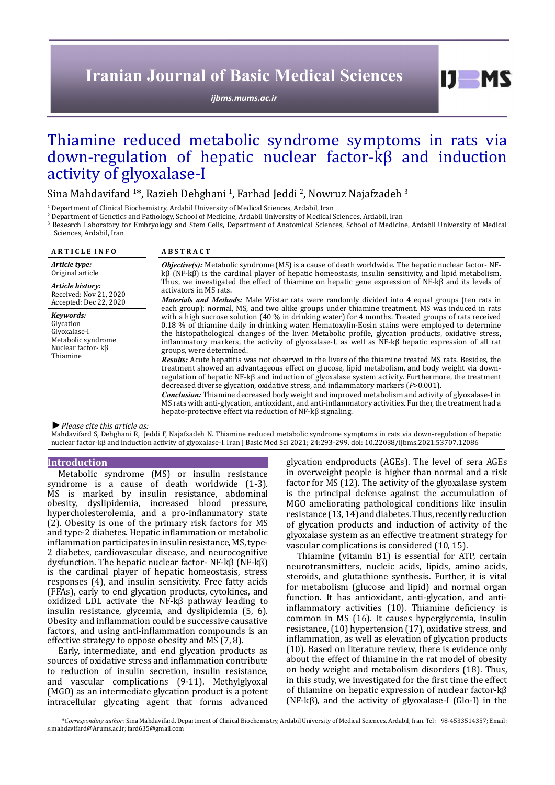# **Iranian Journal of Basic Medical Sciences**

*[ijbms.mums.ac.ir](http://ijbms.mums.ac.ir)*

 $I$   $I$   $M$   $S$ 

# Thiamine reduced metabolic syndrome symptoms in rats via down-regulation of hepatic nuclear factor-kβ and induction activity of glyoxalase-I

Sina Mahdavifard <sup>1</sup>\*, Razieh Dehghani <sup>1</sup>, Farhad Jeddi <sup>2</sup>, Nowruz Najafzadeh <sup>3</sup>

1 Department of Clinical Biochemistry, Ardabil University of Medical Sciences, Ardabil, Iran

2 Department of Genetics and Pathology, School of Medicine, Ardabil University of Medical Sciences, Ardabil, Iran

3 Research Laboratory for Embryology and Stem Cells, Department of Anatomical Sciences, School of Medicine, Ardabil University of Medical Sciences, Ardabil, Iran

| <b>ARTICLE INFO</b>                                                                                                      | <b>ABSTRACT</b>                                                                                                                                                                                                                                                                                                                                                                                                                                                                                                                                            |  |  |  |
|--------------------------------------------------------------------------------------------------------------------------|------------------------------------------------------------------------------------------------------------------------------------------------------------------------------------------------------------------------------------------------------------------------------------------------------------------------------------------------------------------------------------------------------------------------------------------------------------------------------------------------------------------------------------------------------------|--|--|--|
| Article type:<br>Original article                                                                                        | <b><i>Objective(s)</i></b> : Metabolic syndrome (MS) is a cause of death worldwide. The hepatic nuclear factor-NF-<br>$k\beta$ (NF-k $\beta$ ) is the cardinal player of hepatic homeostasis, insulin sensitivity, and lipid metabolism.                                                                                                                                                                                                                                                                                                                   |  |  |  |
| Article history:<br>Received: Nov 21, 2020                                                                               | Thus, we investigated the effect of thiamine on hepatic gene expression of NF-kß and its levels of<br>activators in MS rats.<br><i>Materials and Methods:</i> Male Wistar rats were randomly divided into 4 equal groups (ten rats in                                                                                                                                                                                                                                                                                                                      |  |  |  |
| Accepted: Dec 22, 2020<br>Kevwords:<br>Glycation<br>Glyoxalase-I<br>Metabolic syndrome<br>Nuclear factor- kβ<br>Thiamine | each group): normal, MS, and two alike groups under thiamine treatment. MS was induced in rats<br>with a high sucrose solution $(40\%$ in drinking water) for 4 months. Treated groups of rats received<br>0.18 % of thiamine daily in drinking water. Hematoxylin-Eosin stains were employed to determine<br>the histopathological changes of the liver. Metabolic profile, glycation products, oxidative stress,<br>inflammatory markers, the activity of glyoxalase-I, as well as $NF-k\beta$ hepatic expression of all rat<br>groups, were determined. |  |  |  |
|                                                                                                                          | <b>Results:</b> Acute hepatitis was not observed in the livers of the thiamine treated MS rats. Besides, the<br>treatment showed an advantageous effect on glucose, lipid metabolism, and body weight via down-<br>regulation of hepatic NF- $k\beta$ and induction of glyoxalase system activity. Furthermore, the treatment<br>decreased diverse glycation, oxidative stress, and inflammatory markers $(P>0.001)$ .                                                                                                                                     |  |  |  |
|                                                                                                                          | Conclusion: Thiamine decreased body weight and improved metabolism and activity of glyoxalase-I in<br>MS rats with anti-glycation, antioxidant, and anti-inflammatory activities. Further, the treatment had a<br>hepato-protective effect via reduction of NF-kß signaling.                                                                                                                                                                                                                                                                               |  |  |  |

*►Please cite this article as:*

Mahdavifard S, Dehghani R, Jeddi F, Najafzadeh N. Thiamine reduced metabolic syndrome symptoms in rats via down-regulation of hepatic nuclear factor-kβ and induction activity of glyoxalase-I. Iran J Basic Med Sci 2021; 24:293-299. doi: 10.22038/ijbms.2021.53707.12086

## **Introduction**

Metabolic syndrome (MS) or insulin resistance syndrome is a cause of death worldwide (1-3). MS is marked by insulin resistance, abdominal obesity, dyslipidemia, increased blood pressure, hypercholesterolemia, and a pro-inflammatory state (2). Obesity is one of the primary risk factors for MS and type-2 diabetes. Hepatic inflammation or metabolic inflammation participates in insulin resistance, MS, type-2 diabetes, cardiovascular disease, and neurocognitive dysfunction. The hepatic nuclear factor- NF-kβ (NF-kβ) is the cardinal player of hepatic homeostasis, stress responses (4), and insulin sensitivity. Free fatty acids (FFAs), early to end glycation products, cytokines, and oxidized LDL activate the NF-kβ pathway leading to insulin resistance, glycemia, and dyslipidemia (5, 6). Obesity and inflammation could be successive causative factors, and using anti-inflammation compounds is an effective strategy to oppose obesity and MS (7, 8).

Early, intermediate, and end glycation products as sources of oxidative stress and inflammation contribute to reduction of insulin secretion, insulin resistance, and vascular complications (9-11). Methylglyoxal (MGO) as an intermediate glycation product is a potent intracellular glycating agent that forms advanced glycation endproducts (AGEs). The level of sera AGEs in overweight people is higher than normal and a risk factor for MS (12). The activity of the glyoxalase system is the principal defense against the accumulation of MGO ameliorating pathological conditions like insulin resistance (13, 14) and diabetes. Thus, recently reduction of glycation products and induction of activity of the glyoxalase system as an effective treatment strategy for vascular complications is considered (10, 15).

Thiamine (vitamin B1) is essential for ATP, certain neurotransmitters, nucleic acids, lipids, amino acids, steroids, and glutathione synthesis. Further, it is vital for metabolism (glucose and lipid) and normal organ function. It has antioxidant, anti-glycation, and antiinflammatory activities (10). Thiamine deficiency is common in MS (16). It causes hyperglycemia, insulin resistance, (10) hypertension (17), oxidative stress, and inflammation, as well as elevation of glycation products (10). Based on literature review, there is evidence only about the effect of thiamine in the rat model of obesity on body weight and metabolism disorders (18). Thus, in this study, we investigated for the first time the effect of thiamine on hepatic expression of nuclear factor-kβ (NF-kβ), and the activity of glyoxalase-I (Glo-I) in the

*\*Corresponding author:* Sina Mahdavifard. Department of Clinical Biochemistry, Ardabil University of Medical Sciences, Ardabil, Iran. Tel: +98-4533514357; Email: s.mahdavifard@Arums.ac.ir; fard635@gmail.com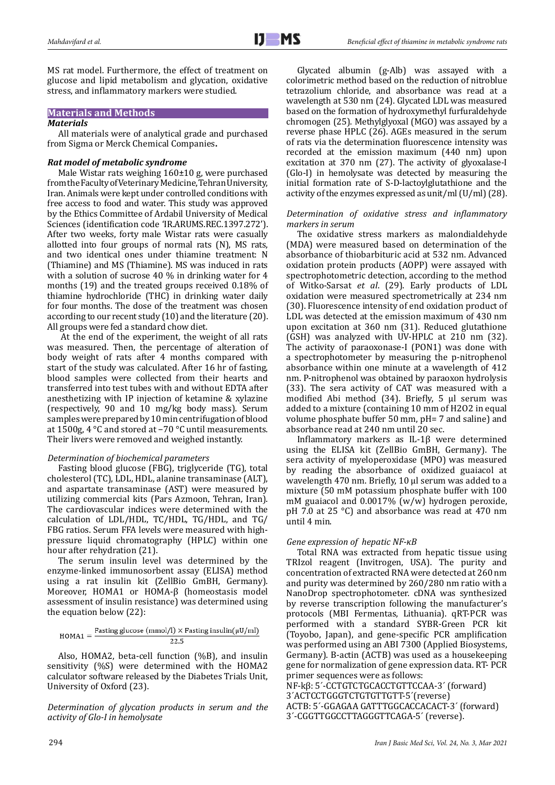MS rat model. Furthermore, the effect of treatment on glucose and lipid metabolism and glycation, oxidative stress, and inflammatory markers were studied.

## **Materials and Methods**

## *Materials*

All materials were of analytical grade and purchased from Sigma or Merck Chemical Companies**.**

## *Rat model of metabolic syndrome*

Male Wistar rats weighing 160±10 g, were purchased from the Faculty of Veterinary Medicine, Tehran University, Iran. Animals were kept under controlled conditions with free access to food and water. This study was approved by the Ethics Committee of Ardabil University of Medical Sciences (identification code 'IR.ARUMS.REC.1397.272'). After two weeks, forty male Wistar rats were casually allotted into four groups of normal rats (N), MS rats, and two identical ones under thiamine treatment: N (Thiamine) and MS (Thiamine). MS was induced in rats with a solution of sucrose 40 % in drinking water for 4 months (19) and the treated groups received 0.18% of thiamine hydrochloride (THC) in drinking water daily for four months. The dose of the treatment was chosen according to our recent study (10) and the literature (20). All groups were fed a standard chow diet.

 At the end of the experiment, the weight of all rats was measured. Then, the percentage of alteration of body weight of rats after 4 months compared with start of the study was calculated. After 16 hr of fasting, blood samples were collected from their hearts and transferred into test tubes with and without EDTA after anesthetizing with IP injection of ketamine & xylazine (respectively, 90 and 10 mg/kg body mass). Serum samples were prepared by 10 min centrifugation of blood at 1500g, 4 °C and stored at −70 °C until measurements. Their livers were removed and weighed instantly.

## *Determination of biochemical parameters*

Fasting blood glucose (FBG), triglyceride (TG), total cholesterol (TC), LDL, HDL, alanine transaminase (ALT), and aspartate transaminase (AST) were measured by utilizing commercial kits (Pars Azmoon, Tehran, Iran). The cardiovascular indices were determined with the calculation of LDL/HDL, TC/HDL, TG/HDL, and TG/ FBG ratios. Serum FFA levels were measured with highpressure liquid chromatography (HPLC) within one hour after rehydration (21).

The serum insulin level was determined by the enzyme-linked immunosorbent assay (ELISA) method using a rat insulin kit (ZellBio GmBH, Germany). Moreover, HOMA1 or HOMA-β (homeostasis model assessment of insulin resistance) was determined using the equation below (22):

$$
HOMA1 = \frac{Fasting glucose (mmol/l) \times Fasting insulin(\mu U/ml)}{22.5}
$$

Also, HOMA2, beta-cell function (%B), and insulin sensitivity (%S) were determined with the HOMA2 calculator software released by the Diabetes Trials Unit, University of Oxford (23).

*Determination of glycation products in serum and the activity of Glo-I in hemolysate*

Glycated albumin (g-Alb) was assayed with a colorimetric method based on the reduction of nitroblue tetrazolium chloride, and absorbance was read at a wavelength at 530 nm (24). Glycated LDL was measured based on the formation of hydroxymethyl furfuraldehyde chromogen (25). Methylglyoxal (MGO) was assayed by a reverse phase HPLC (26). AGEs measured in the serum of rats via the determination fluorescence intensity was recorded at the emission maximum (440 nm) upon excitation at 370 nm (27). The activity of glyoxalase-I (Glo-I) in hemolysate was detected by measuring the initial formation rate of S-D-lactoylglutathione and the activity of the enzymes expressed as unit/ml (U/ml) (28).

### *Determination of oxidative stress and inflammatory markers in serum*

The oxidative stress markers as malondialdehyde (MDA) were measured based on determination of the absorbance of thiobarbituric acid at 532 nm. Advanced oxidation protein products (AOPP) were assayed with spectrophotometric detection, according to the method of Witko-Sarsat *et al*. (29). Early products of LDL oxidation were measured spectrometrically at 234 nm (30). Fluorescence intensity of end oxidation product of LDL was detected at the emission maximum of 430 nm upon excitation at 360 nm (31). Reduced glutathione (GSH) was analyzed with UV-HPLC at 210 nm (32). The activity of paraoxonase-I (PON1) was done with a spectrophotometer by measuring the p-nitrophenol absorbance within one minute at a wavelength of 412 nm. P-nitrophenol was obtained by paraoxon hydrolysis (33). The sera activity of CAT was measured with a modified Abi method (34). Briefly, 5 µl serum was added to a mixture (containing 10 mm of H2O2 in equal volume phosphate buffer 50 mm, pH= 7 and saline) and absorbance read at 240 nm until 20 sec.

Inflammatory markers as IL-1β were determined using the ELISA kit (ZellBio GmBH, Germany). The sera activity of myeloperoxidase (MPO) was measured by reading the absorbance of oxidized guaiacol at wavelength 470 nm. Briefly, 10 µl serum was added to a mixture (50 mM potassium phosphate buffer with 100 mM guaiacol and 0.0017% (w/w) hydrogen peroxide, pH 7.0 at 25 °C) and absorbance was read at 470 nm until 4 min.

## *Gene expression of hepatic NF-κB*

Total RNA was extracted from hepatic tissue using TRIzol reagent (Invitrogen, USA). The purity and concentration of extracted RNA were detected at 260 nm and purity was determined by 260/280 nm ratio with a NanoDrop spectrophotometer. cDNA was synthesized by reverse transcription following the manufacturer's protocols (MBI Fermentas, Lithuania). qRT-PCR was performed with a standard SYBR-Green PCR kit (Toyobo, Japan), and gene-specific PCR amplification was performed using an ABI 7300 (Applied Biosystems, Germany). Β-actin (ACTB) was used as a housekeeping gene for normalization of gene expression data. RT- PCR primer sequences were as follows:

NF-kβ: 5´-CCTGTCTGCACCTGTTCCAA-3´ (forward) 3´ACTCCTGGGTCTGTGTTGTT-5´(reverse) ACTB: 5´-GGAGAA GATTTGGCACCACACT-3´ (forward) 3´-CGGTTGGCCTTAGGGTTCAGA-5´ (reverse).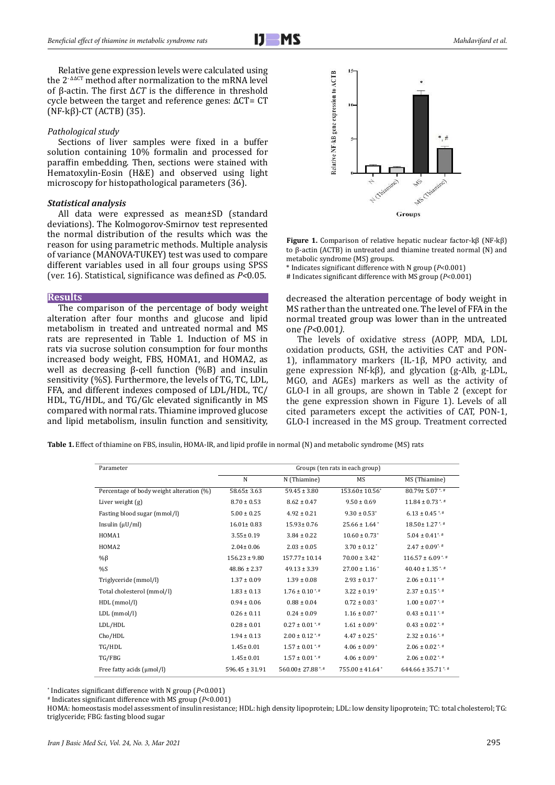

Relative gene expression levels were calculated using the 2<sup>- ΔΔCT</sup> method after normalization to the mRNA level of β-actin. The first Δ*CT* is the difference in threshold cycle between the target and reference genes: ΔCT= CT  $(NF-k\beta)$ -CT (ACTB) (35).

#### *Pathological study*

Sections of liver samples were fixed in a buffer solution containing 10% formalin and processed for paraffin embedding. Then, sections were stained with Hematoxylin-Eosin (H&E) and observed using light microscopy for histopathological parameters (36).

#### *Statistical analysis*

All data were expressed as mean±SD (standard deviations). The Kolmogorov-Smirnov test represented the normal distribution of the results which was the reason for using parametric methods. Multiple analysis of variance (MANOVA-TUKEY) test was used to compare different variables used in all four groups using SPSS (ver. 16). Statistical, significance was defined as *P<*0*.*05.

#### **Results**

The comparison of the percentage of body weight alteration after four months and glucose and lipid metabolism in treated and untreated normal and MS rats are represented in Table 1. Induction of MS in rats via sucrose solution consumption for four months increased body weight, FBS, HOMA1, and HOMA2, as well as decreasing β-cell function (%B) and insulin sensitivity (%S). Furthermore, the levels of TG, TC, LDL, FFA, and different indexes composed of LDL/HDL, TC/ HDL, TG/HDL, and TG/Glc elevated significantly in MS compared with normal rats. Thiamine improved glucose and lipid metabolism, insulin function and sensitivity,



**Figure 1.** Comparison of relative hepatic nuclear factor-kβ (NF-kβ) to β-actin (ACTB) in untreated and thiamine treated normal (N) and metabolic syndrome (MS) groups.

\* Indicates significant difference with N group (*P*<0.001)

# Indicates significant difference with MS group (*P*<0.001)

decreased the alteration percentage of body weight in MS rather than the untreated one. The level of FFA in the normal treated group was lower than in the untreated one *(P<*0*.*001*).* 

The levels of oxidative stress (AOPP, MDA, LDL oxidation products, GSH, the activities CAT and PON-1), inflammatory markers (IL-1β, MPO activity, and gene expression Nf-kβ), and glycation (g-Alb, g-LDL, MGO, and AGEs) markers as well as the activity of GLO-I in all groups, are shown in Table 2 (except for the gene expression shown in Figure 1). Levels of all cited parameters except the activities of CAT, PON-1, GLO-I increased in the MS group. Treatment corrected

**Table 1.** Effect of thiamine on FBS, insulin, HOMA-IR, and lipid profile in normal (N) and metabolic syndrome (MS) rats

| Parameter                                | Groups (ten rats in each group) |                                |                                 |                                 |  |
|------------------------------------------|---------------------------------|--------------------------------|---------------------------------|---------------------------------|--|
|                                          | N                               | N (Thiamine)                   | <b>MS</b>                       | MS (Thiamine)                   |  |
| Percentage of body weight alteration (%) | $58.65 \pm 3.63$                | $59.45 \pm 3.80$               | 153.60±10.56°                   | $80.79 \pm 5.07$ *, #           |  |
| Liver weight (g)                         | $8.70 \pm 0.53$                 | $8.62 \pm 0.47$                | $9.50 \pm 0.69$                 | $11.84 \pm 0.73$ <sup>*</sup>   |  |
| Fasting blood sugar (mmol/l)             | $5.00 \pm 0.25$                 | $4.92 \pm 0.21$                | $9.30 \pm 0.53$ <sup>*</sup>    | $6.13 \pm 0.45$ **              |  |
| Insulin $(\mu U/ml)$                     | $16.01 \pm 0.83$                | $15.93 \pm 0.76$               | $25.66 \pm 1.64$ <sup>*</sup>   | 18.50±1.27*,#                   |  |
| HOMA1                                    | $3.55 \pm 0.19$                 | $3.84 \pm 0.22$                | $10.60 \pm 0.73$ <sup>*</sup>   | $5.04 \pm 0.41$ <sup>*</sup>    |  |
| HOMA <sub>2</sub>                        | $2.04 \pm 0.06$                 | $2.03 \pm 0.05$                | $3.70 \pm 0.12$ <sup>*</sup>    | $2.47 \pm 0.09$ <sup>*</sup>    |  |
| $%$ $\beta$                              | $156.23 \pm 9.80$               | 157.77±10.14                   | $70.00 \pm 3.42^*$              | $116.57 \pm 6.09$ <sup>*</sup>  |  |
| %S                                       | $48.86 \pm 2.37$                | $49.13 \pm 3.39$               | $27.00 \pm 1.16$ <sup>*</sup>   | $40.40 \pm 1.35$ <sup>*</sup>   |  |
| Triglyceride (mmol/l)                    | $1.37 \pm 0.09$                 | $1.39 \pm 0.08$                | $2.93 \pm 0.17$ <sup>*</sup>    | $2.06 \pm 0.11$ <sup>*</sup>    |  |
| Total cholesterol (mmol/l)               | $1.83 \pm 0.13$                 | $1.76 \pm 0.10$ <sup>*</sup>   | $3.22 \pm 0.19$ <sup>*</sup>    | $2.37 \pm 0.15$ <sup>*</sup>    |  |
| HDL (mmol/l)                             | $0.94 \pm 0.06$                 | $0.88 \pm 0.04$                | $0.72 \pm 0.03$ <sup>*</sup>    | $1.00 \pm 0.07$ <sup>*</sup>    |  |
| $LDL$ (mmol/l)                           | $0.26 \pm 0.11$                 | $0.24 \pm 0.09$                | $1.16 \pm 0.07$ <sup>*</sup>    | $0.43 \pm 0.11$ <sup>*</sup>    |  |
| LDL/HDL                                  | $0.28 \pm 0.01$                 | $0.27 \pm 0.01$ <sup>*</sup>   | $1.61 \pm 0.09$ <sup>*</sup>    | $0.43 \pm 0.02$ <sup>*</sup>    |  |
| Cho/HDL                                  | $1.94 \pm 0.13$                 | $2.00 \pm 0.12$ <sup>*,#</sup> | $4.47 \pm 0.25$ <sup>*</sup>    | $2.32 \pm 0.16$ <sup>*, #</sup> |  |
| TG/HDL                                   | $1.45 \pm 0.01$                 | $1.57 \pm 0.01$ <sup>*</sup>   | $4.06 \pm 0.09$ <sup>*</sup>    | $2.06 \pm 0.02$ <sup>*, #</sup> |  |
| TG/FBG                                   | $1.45 \pm 0.01$                 | $1.57 \pm 0.01$ <sup>*,#</sup> | $4.06 \pm 0.09$ <sup>*</sup>    | $2.06 \pm 0.02$ <sup>*, #</sup> |  |
| Free fatty acids (µmol/l)                | $596.45 \pm 31.91$              | 560.00±27.88*.#                | $755.00 \pm 41.64$ <sup>*</sup> | $644.66 \pm 35.71$ <sup>*</sup> |  |

\* Indicates significant difference with N group (*P*<0.001)

# Indicates significant difference with MS group (*P*<0.001)

HOMA: homeostasis model assessment of insulin resistance; HDL: high density lipoprotein; LDL: low density lipoprotein; TC: total cholesterol; TG: triglyceride; FBG: fasting blood sugar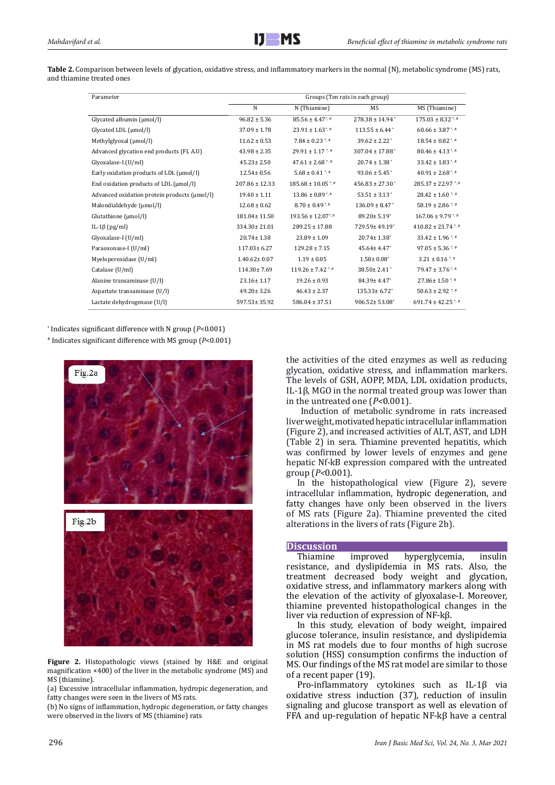**Table 2.** Comparison between levels of glycation, oxidative stress, and inflammatory markers in the normal (N), metabolic syndrome (MS) rats, and thiamine treated ones

| Parameter                                    | Groups (Ten rats in each group) |                                   |                                 |                                   |  |
|----------------------------------------------|---------------------------------|-----------------------------------|---------------------------------|-----------------------------------|--|
|                                              | N                               | N (Thiamine)                      | MS                              | MS (Thiamine)                     |  |
| Glycated albumin (µmol/l)                    | $96.82 \pm 5.36$                | $85.56 \pm 4.47$ <sup>*</sup>     | $278.38 \pm 14.94$ <sup>*</sup> | $175.03 \pm 8.32$ <sup>*, #</sup> |  |
| Glycated LDL (µmol/l)                        | $37.09 \pm 1.78$                | $23.91 \pm 1.63$ <sup>*</sup>     | $113.55 \pm 6.44$               | $60.66 \pm 3.87$ <sup>*</sup>     |  |
| Methylglyoxal (µmol/l)                       | $11.62 \pm 0.53$                | $7.84 \pm 0.23$ <sup>*, #</sup>   | $39.62 \pm 2.22$ <sup>*</sup>   | $18.54 \pm 0.82$ <sup>*, #</sup>  |  |
| Advanced glycation end products (FI, A.U)    | $43.98 \pm 2.35$                | $29.91 \pm 1.17$ <sup>*</sup>     | $307.04 \pm 17.88$ <sup>*</sup> | $80.46 \pm 4.13$ <sup>*, #</sup>  |  |
| Glyoxalase-I (U/ml)                          | $45.23 \pm 2.50$                | $47.61 \pm 2.68$ <sup>*, #</sup>  | $20.74 \pm 1.38$ <sup>*</sup>   | $33.42 \pm 1.83$ <sup>*, #</sup>  |  |
| Early oxidation products of LDL (µmol/l)     | 12.54± 0.56                     | $5.68 \pm 0.41$ * #               | $93.06 \pm 5.45$ <sup>*</sup>   | $40.91 \pm 2.68$ <sup>*</sup>     |  |
| End oxidation products of LDL (µmol/l)       | $207.86 \pm 12.33$              | $185.68 \pm 10.05$ <sup>*,#</sup> | $456.83 \pm 27.30$ <sup>*</sup> | $285.37 \pm 22.97$ *.#            |  |
| Advanced oxidation protein products (µmol/l) | $19.40 \pm 1.11$                | $13.86 \pm 0.89$ <sup>*</sup>     | $53.51 \pm 3.13$ <sup>*</sup>   | $28.42 \pm 1.60$ * #              |  |
| Malondialdehyde (µmol/l)                     | $12.68 \pm 0.62$                | $8.70 \pm 0.49$ <sup>*</sup>      | $136.09 \pm 8.47$               | 58.19 ± 2.86 $*$                  |  |
| Glutathione (µmol/l)                         | 181.04±11.50                    | $193.56 \pm 12.07$ <sup>*</sup>   | $89.20 \pm 5.19$                | $167.06 \pm 9.79$ <sup>*</sup>    |  |
| IL-1 $\beta$ (pg/ml)                         | 334.30±21.01                    | $289.25 \pm 17.88$                | 729.59±49.19*                   | $410.82 \pm 23.74$ <sup>*</sup>   |  |
| Glyoxalase-I (U/ml)                          | $20.74 \pm 1.38$                | $23.89 \pm 1.09$                  | $20.74 \pm 1.38$ <sup>*</sup>   | $33.42 \pm 1.96$ <sup>*</sup>     |  |
| Paraoxonase-I (U/ml)                         | $117.03 \pm 6.27$               | $129.28 \pm 7.15$                 | $45.64 \pm 4.47$ <sup>*</sup>   | $97.05 \pm 5.36$ <sup>*</sup>     |  |
| Myeloperoxidase (U/ml)                       | $1.40.62 \pm 0.07$              | $1.19 \pm 0.05$                   | $1.58 \pm 0.08^*$               | $3.21 \pm 0.16$ <sup>*, #</sup>   |  |
| Catalase (U/ml)                              | 114.30±7.69                     | $119.26 \pm 7.42$ <sup>*,#</sup>  | $38.50 \pm 2.41$ <sup>*</sup>   | $79.47 \pm 3.76$ <sup>*</sup>     |  |
| Alanine transaminase (U/l)                   | 23.16±1.17                      | $19.26 \pm 0.93$                  | 84.39±4.47*                     | 27.86±1.50*                       |  |
| Aspartate transaminase (U/l)                 | $49.20 \pm 3.26$                | $46.43 \pm 2.37$                  | $135.33 \pm 6.72$ <sup>*</sup>  | $50.63 \pm 2.92$ <sup>*, #</sup>  |  |
| Lactate dehydrogenase (U/l)                  | 597.53± 35.92                   | $586.04 \pm 37.51$                | 906.52±53.08*                   | $691.74 \pm 42.25$ <sup>*</sup>   |  |

\* Indicates significant difference with N group (*P*<0.001)

# Indicates significant difference with MS group (*P*<0.001)



**Figure 2.** Histopathologic views (stained by H&E and original magnification ×400) of the liver in the metabolic syndrome (MS) and MS (thiamine).

(a) Excessive intracellular inflammation, hydropic degeneration, and fatty changes were seen in the livers of MS rats.

(b) No signs of inflammation, hydropic degeneration, or fatty changes were observed in the livers of MS (thiamine) rats

the activities of the cited enzymes as well as reducing glycation, oxidative stress, and inflammation markers. The levels of GSH, AOPP, MDA, LDL oxidation products, IL-1β, MGO in the normal treated group was lower than in the untreated one (*P<*0.001).

Induction of metabolic syndrome in rats increased liver weight, motivatedhepatic intracellular inflammation (Figure 2), and increased activities of ALT, AST, and LDH (Table 2) in sera. Thiamine prevented hepatitis, which was confirmed by lower levels of enzymes and gene hepatic Nf-kB expression compared with the untreated group (*P<*0.001).

In the histopathological view (Figure 2), severe intracellular inflammation, hydropic degeneration, and fatty changes have only been observed in the livers of MS rats (Figure 2a). Thiamine prevented the cited alterations in the livers of rats (Figure 2b).

#### **Discussion**

Thiamine improved hyperglycemia, insulin resistance, and dyslipidemia in MS rats. Also, the treatment decreased body weight and glycation, oxidative stress, and inflammatory markers along with the elevation of the activity of glyoxalase-I. Moreover, thiamine prevented histopathological changes in the liver via reduction of expression of NF-kβ.

In this study, elevation of body weight, impaired glucose tolerance, insulin resistance, and dyslipidemia in MS rat models due to four months of high sucrose solution (HSS) consumption confirms the induction of MS. Our findings of the MS rat model are similar to those of a recent paper (19).

Pro-inflammatory cytokines such as IL-1β via oxidative stress induction (37), reduction of insulin signaling and glucose transport as well as elevation of FFA and up-regulation of hepatic NF-kβ have a central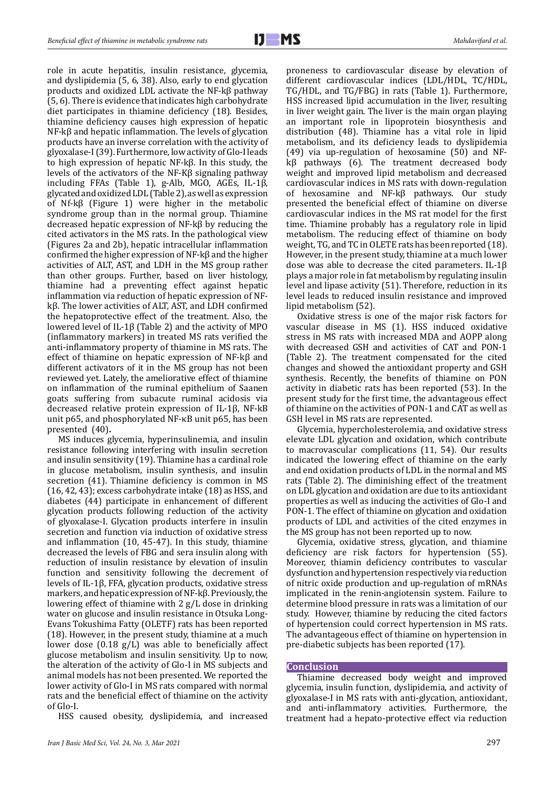role in acute hepatitis, insulin resistance, glycemia, and dyslipidemia (5, 6, 38). Also, early to end glycation products and oxidized LDL activate the NF-kβ pathway (5, 6). There is evidence that indicates high carbohydrate diet participates in thiamine deficiency (18). Besides, thiamine deficiency causes high expression of hepatic NF-kβ and hepatic inflammation. The levels of glycation products have an inverse correlation with the activity of glyoxalase-I (39). Furthermore, low activity of Glo-I leads to high expression of hepatic NF-kβ. In this study, the levels of the activators of the NF-Kβ signaling pathway including FFAs (Table 1), g-Alb, MGO, AGEs, IL-1β, glycated and oxidized LDL (Table 2), as well as expression of Nf-kβ (Figure 1) were higher in the metabolic syndrome group than in the normal group. Thiamine decreased hepatic expression of NF-kβ by reducing the cited activators in the MS rats. In the pathological view (Figures 2a and 2b), hepatic intracellular inflammation confirmed the higher expression of NF-kβ and the higher activities of ALT, AST, and LDH in the MS group rather than other groups. Further, based on liver histology, thiamine had a preventing effect against hepatic inflammation via reduction of hepatic expression of NFkβ. The lower activities of ALT, AST, and LDH confirmed the hepatoprotective effect of the treatment. Also, the lowered level of IL-1β (Table 2) and the activity of MPO (inflammatory markers) in treated MS rats verified the anti-inflammatory property of thiamine in MS rats. The effect of thiamine on hepatic expression of NF-kβ and different activators of it in the MS group has not been reviewed yet. Lately, the ameliorative effect of thiamine on inflammation of the ruminal epithelium of Saanen goats suffering from subacute ruminal acidosis via decreased relative protein expression of IL-1β, NF-kB unit p65, and phosphorylated NF-κB unit p65, has been presented (40)**.**

MS induces glycemia, hyperinsulinemia, and insulin resistance following interfering with insulin secretion and insulin sensitivity (19). Thiamine has a cardinal role in glucose metabolism, insulin synthesis, and insulin secretion (41). Thiamine deficiency is common in MS (16, 42, 43); excess carbohydrate intake (18) as HSS, and diabetes (44) participate in enhancement of different glycation products following reduction of the activity of glyoxalase-I. Glycation products interfere in insulin secretion and function via induction of oxidative stress and inflammation (10, 45-47). In this study, thiamine decreased the levels of FBG and sera insulin along with reduction of insulin resistance by elevation of insulin function and sensitivity following the decrement of levels of IL-1β, FFA, glycation products, oxidative stress markers, and hepatic expression of NF-kβ. Previously, the lowering effect of thiamine with 2 g/L dose in drinking water on glucose and insulin resistance in Otsuka Long-Evans Tokushima Fatty (OLETF) rats has been reported (18). However, in the present study, thiamine at a much lower dose (0.18 g/L) was able to beneficially affect glucose metabolism and insulin sensitivity. Up to now, the alteration of the activity of Glo-I in MS subjects and animal models has not been presented. We reported the lower activity of Glo-I in MS rats compared with normal rats and the beneficial effect of thiamine on the activity of Glo-I.

HSS caused obesity, dyslipidemia, and increased

proneness to cardiovascular disease by elevation of different cardiovascular indices (LDL/HDL, TC/HDL, TG/HDL, and TG/FBG) in rats (Table 1). Furthermore, HSS increased lipid accumulation in the liver, resulting in liver weight gain. The liver is the main organ playing an important role in lipoprotein biosynthesis and distribution (48). Thiamine has a vital role in lipid metabolism, and its deficiency leads to dyslipidemia (49) via up-regulation of hexosamine (50) and NFkβ pathways (6). The treatment decreased body weight and improved lipid metabolism and decreased cardiovascular indices in MS rats with down-regulation of hexosamine and NF-kβ pathways. Our study presented the beneficial effect of thiamine on diverse cardiovascular indices in the MS rat model for the first time. Thiamine probably has a regulatory role in lipid metabolism. The reducing effect of thiamine on body weight, TG, and TC in OLETE rats has been reported (18). However, in the present study, thiamine at a much lower dose was able to decrease the cited parameters. IL-1β plays a major role in fat metabolism by regulating insulin level and lipase activity (51). Therefore, reduction in its level leads to reduced insulin resistance and improved lipid metabolism (52).

Oxidative stress is one of the major risk factors for vascular disease in MS (1). HSS induced oxidative stress in MS rats with increased MDA and AOPP along with decreased GSH and activities of CAT and PON-1 (Table 2). The treatment compensated for the cited changes and showed the antioxidant property and GSH synthesis. Recently, the benefits of thiamine on PON activity in diabetic rats has been reported (53). In the present study for the first time, the advantageous effect of thiamine on the activities of PON-1 and CAT as well as GSH level in MS rats are represented.

Glycemia, hypercholesterolemia, and oxidative stress elevate LDL glycation and oxidation, which contribute to macrovascular complications (11, 54). Our results indicated the lowering effect of thiamine on the early and end oxidation products of LDL in the normal and MS rats (Table 2). The diminishing effect of the treatment on LDL glycation and oxidation are due to its antioxidant properties as well as inducing the activities of Glo-I and PON-1. The effect of thiamine on glycation and oxidation products of LDL and activities of the cited enzymes in the MS group has not been reported up to now.

Glycemia, oxidative stress, glycation, and thiamine deficiency are risk factors for hypertension (55). Moreover, thiamin deficiency contributes to vascular dysfunction and hypertension respectively via reduction of nitric oxide production and up-regulation of mRNAs implicated in the renin-angiotensin system. Failure to determine blood pressure in rats was a limitation of our study. However, thiamine by reducing the cited factors of hypertension could correct hypertension in MS rats. The advantageous effect of thiamine on hypertension in pre-diabetic subjects has been reported (17).

## **Conclusion**

Thiamine decreased body weight and improved glycemia, insulin function, dyslipidemia, and activity of glyoxalase-I in MS rats with anti-glycation, antioxidant, and anti-inflammatory activities. Furthermore, the treatment had a hepato-protective effect via reduction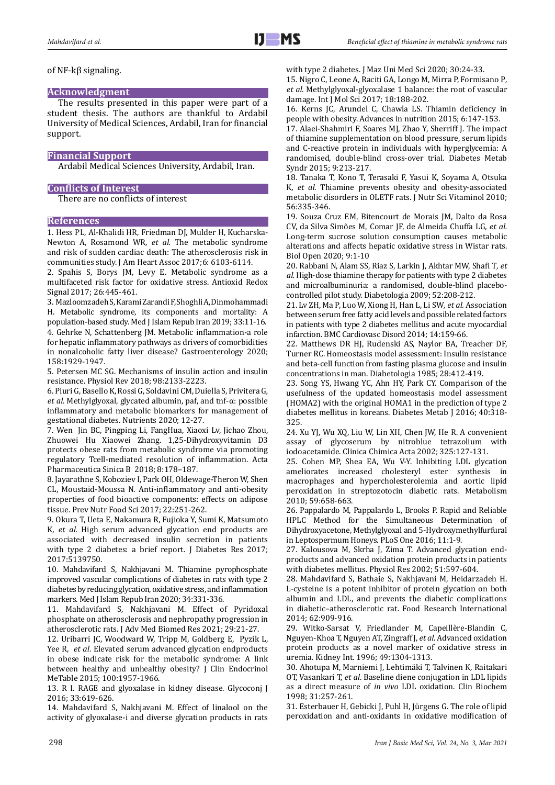## of NF-kβ signaling.

## **Acknowledgment**

The results presented in this paper were part of a student thesis. The authors are thankful to Ardabil University of Medical Sciences, Ardabil, Iran for financial support.

# **Financial Support**

Ardabil Medical Sciences University, Ardabil, Iran.

## **Conflicts of Interest**

There are no conflicts of interest

#### **References**

1. Hess PL, Al-Khalidi HR, Friedman DJ, Mulder H, Kucharska-Newton A, Rosamond WR*, et al.* The metabolic syndrome and risk of sudden cardiac death: The atherosclerosis risk in communities study. J Am Heart Assoc 2017;6: 6103-6114.

2. Spahis S, Borys JM, Levy E. Metabolic syndrome as a multifaceted risk factor for oxidative stress. Antioxid Redox Signal 2017; 26:445-461.

3. Mazloomzadeh S, Karami Zarandi F, Shoghli A, Dinmohammadi H. Metabolic syndrome, its components and mortality: A population-based study. Med J Islam Repub Iran 2019; 33:11-16. 4. Gehrke N, Schattenberg JM. Metabolic inflammation-a role for hepatic inflammatory pathways as drivers of comorbidities in nonalcoholic fatty liver disease? Gastroenterology 2020; 158:1929-1947.

5. Petersen MC SG. Mechanisms of insulin action and insulin resistance. Physiol Rev 2018; 98:2133-2223.

6. Piuri G, Basello K, Rossi G, Soldavini CM, Duiella S, Privitera G*, et al.* Methylglyoxal, glycated albumin, paf, and tnf-α: possible inflammatory and metabolic biomarkers for management of gestational diabetes. Nutrients 2020; 12-27.

7. Wen Jin BC, Pingping Li, FangHua, Xiaoxi Lv, Jichao Zhou, Zhuowei Hu Xiaowei Zhang. 1,25-Dihydroxyvitamin D3 protects obese rats from metabolic syndrome via promoting regulatory Tcell-mediated resolution of inflammation. Acta Pharmaceutica Sinica B 2018; 8:178–187.

8. Jayarathne S, Koboziev I, Park OH, Oldewage-Theron W, Shen CL, Moustaid-Moussa N. Anti-inflammatory and anti-obesity properties of food bioactive components: effects on adipose tissue. Prev Nutr Food Sci 2017; 22:251-262.

9. Okura T, Ueta E, Nakamura R, Fujioka Y, Sumi K, Matsumoto K*, et al.* High serum advanced glycation end products are associated with decreased insulin secretion in patients with type 2 diabetes: a brief report. J Diabetes Res 2017; 2017:5139750.

10. Mahdavifard S, Nakhjavani M. Thiamine pyrophosphate improved vascular complications of diabetes in rats with type 2 diabetes by reducing glycation, oxidative stress, and inflammation markers. Med J Islam Repub Iran 2020; 34:331-336.

11. Mahdavifard S, Nakhjavani M. Effect of Pyridoxal phosphate on atherosclerosis and nephropathy progression in atherosclerotic rats. J Adv Med Biomed Res 2021; 29:21-27.

12. Uribarri JC, Woodward W, Tripp M, Goldberg E, Pyzik L, Yee R, *et al*. Elevated serum advanced glycation endproducts in obese indicate risk for the metabolic syndrome: A link between healthy and unhealthy obesity? J Clin Endocrinol MeTable 2015; 100:1957-1966.

13. R I. RAGE and glyoxalase in kidney disease. Glycoconj J 2016; 33:619-626.

14. Mahdavifard S, Nakhjavani M. Effect of linalool on the activity of glyoxalase-i and diverse glycation products in rats

with type 2 diabetes. J Maz Uni Med Sci 2020; 30:24-33.

15. Nigro C, Leone A, Raciti GA, Longo M, Mirra P, Formisano P*, et al.* Methylglyoxal-glyoxalase 1 balance: the root of vascular damage. Int J Mol Sci 2017; 18:188-202.

16. Kerns JC, Arundel C, Chawla LS. Thiamin deficiency in people with obesity. Advances in nutrition 2015; 6:147-153.

17. Alaei-Shahmiri F, Soares MJ, Zhao Y, Sherriff J. The impact of thiamine supplementation on blood pressure, serum lipids and C-reactive protein in individuals with hyperglycemia: A randomised, double-blind cross-over trial. Diabetes Metab Syndr 2015; 9:213-217.

18. Tanaka T, Kono T, Terasaki F, Yasui K, Soyama A, Otsuka K*, et al.* Thiamine prevents obesity and obesity-associated metabolic disorders in OLETF rats. J Nutr Sci Vitaminol 2010; 56:335-346.

19. Souza Cruz EM, Bitencourt de Morais JM, Dalto da Rosa CV, da Silva Simões M, Comar JF, de Almeida Chuffa LG*, et al.* Long-term sucrose solution consumption causes metabolic alterations and affects hepatic oxidative stress in Wistar rats. Biol Open 2020; 9:1-10

20. Rabbani N, Alam SS, Riaz S, Larkin J, Akhtar MW, Shafi T*, et al.* High-dose thiamine therapy for patients with type 2 diabetes and microalbuminuria: a randomised, double-blind placebocontrolled pilot study. Diabetologia 2009; 52:208-212.

21. Lv ZH, Ma P, Luo W, Xiong H, Han L, Li SW*, et al.* Association between serum free fatty acid levels and possible related factors in patients with type 2 diabetes mellitus and acute myocardial infarction. BMC Cardiovasc Disord 2014; 14:159-66.

22. Matthews DR HJ, Rudenski AS, Naylor BA, Treacher DF, Turner RC. Homeostasis model assessment: Insulin resistance and beta-cell function from fasting plasma glucose and insulin concentrations in man. Diabetologia 1985; 28:412-419.

23. Song YS, Hwang YC, Ahn HY, Park CY. Comparison of the usefulness of the updated homeostasis model assessment (HOMA2) with the original HOMA1 in the prediction of type 2 diabetes mellitus in koreans. Diabetes Metab J 2016; 40:318- 325.

24. Xu YJ, Wu XQ, Liu W, Lin XH, Chen JW, He R. A convenient assay of glycoserum by nitroblue tetrazolium with iodoacetamide. Clinica Chimica Acta 2002; 325:127-131.

25. Cohen MP, Shea EA, Wu V-Y. Inhibiting LDL glycation ameliorates increased cholesteryl ester synthesis in macrophages and hypercholesterolemia and aortic lipid peroxidation in streptozotocin diabetic rats. Metabolism 2010; 59:658-663.

26. Pappalardo M, Pappalardo L, Brooks P. Rapid and Reliable HPLC Method for the Simultaneous Determination of Dihydroxyacetone, Methylglyoxal and 5-Hydroxymethylfurfural in Leptospermum Honeys. PLoS One 2016; 11:1-9.

27. Kalousova M, Skrha J, Zima T. Advanced glycation endproducts and advanced oxidation protein products in patients with diabetes mellitus. Physiol Res 2002; 51:597-604.

28. Mahdavifard S, Bathaie S, Nakhjavani M, Heidarzadeh H. L-cysteine is a potent inhibitor of protein glycation on both albumin and LDL, and prevents the diabetic complications in diabetic–atherosclerotic rat. Food Research International 2014; 62:909-916.

29. Witko-Sarsat V, Friedlander M, Capeillère-Blandin C, Nguyen-Khoa T, Nguyen AT, Zingraff J, *et al*. Advanced oxidation protein products as a novel marker of oxidative stress in uremia. Kidney Int. 1996; 49:1304-1313.

30. Ahotupa M, Marniemi J, Lehtimäki T, Talvinen K, Raitakari OT, Vasankari T, *et al*. Baseline diene conjugation in LDL lipids as a direct measure of *in vivo* LDL oxidation. Clin Biochem 1998; 31:257-261.

31. Esterbauer H, Gebicki J, Puhl H, Jürgens G. The role of lipid peroxidation and anti-oxidants in oxidative modification of